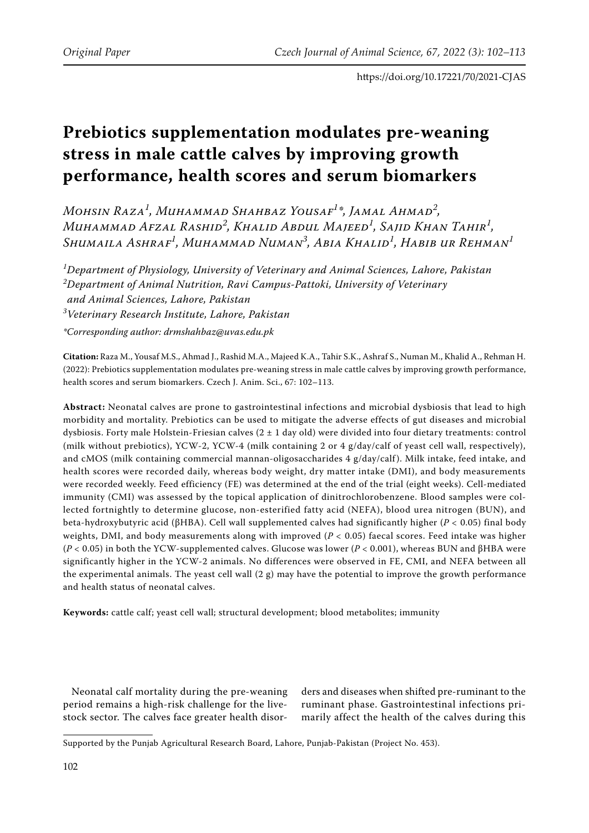# **Prebiotics supplementation modulates pre-weaning stress in male cattle calves by improving growth performance, health scores and serum biomarkers**

*Mohsin Raza<sup>1</sup> , Muhammad Shahbaz Yousaf<sup>1</sup> \*, Jamal Ahmad<sup>2</sup> , Muhammad Afzal Rashid<sup>2</sup> , Khalid Abdul Majeed<sup>1</sup> , Sajid Khan Tahir<sup>1</sup> , Shumaila Ashraf<sup>1</sup> , Muhammad Numan<sup>3</sup> , Abia Khalid<sup>1</sup> , Habib ur Rehman<sup>1</sup>*

*1 Department of Physiology, University of Veterinary and Animal Sciences, Lahore, Pakistan 2 Department of Animal Nutrition, Ravi Campus-Pattoki, University of Veterinary and Animal Sciences, Lahore, Pakistan 3 Veterinary Research Institute, Lahore, Pakistan \*Corresponding author: drmshahbaz@uvas.edu.pk*

**Citation:** Raza M., Yousaf M.S., Ahmad J., Rashid M.A., Majeed K.A., Tahir S.K., Ashraf S., Numan M., Khalid A., Rehman H. (2022): Prebiotics supplementation modulates pre-weaning stress in male cattle calves by improving growth performance, health scores and serum biomarkers. Czech J. Anim. Sci., 67: 102–113.

**Abstract:** Neonatal calves are prone to gastrointestinal infections and microbial dysbiosis that lead to high morbidity and mortality. Prebiotics can be used to mitigate the adverse effects of gut diseases and microbial dysbiosis. Forty male Holstein-Friesian calves  $(2 \pm 1 \text{ day old})$  were divided into four dietary treatments: control (milk without prebiotics), YCW-2, YCW-4 (milk containing 2 or 4 g/day/calf of yeast cell wall, respectively), and cMOS (milk containing commercial mannan-oligosaccharides 4 g/day/calf). Milk intake, feed intake, and health scores were recorded daily, whereas body weight, dry matter intake (DMI), and body measurements were recorded weekly. Feed efficiency (FE) was determined at the end of the trial (eight weeks). Cell-mediated immunity (CMI) was assessed by the topical application of dinitrochlorobenzene. Blood samples were collected fortnightly to determine glucose, non-esterified fatty acid (NEFA), blood urea nitrogen (BUN), and beta-hydroxybutyric acid (βHBA). Cell wall supplemented calves had significantly higher (*P <* 0.05) final body weights, DMI, and body measurements along with improved (*P <* 0.05) faecal scores. Feed intake was higher (*P <* 0.05) in both the YCW-supplemented calves. Glucose was lower (*P <* 0.001), whereas BUN and βHBA were significantly higher in the YCW-2 animals. No differences were observed in FE, CMI, and NEFA between all the experimental animals. The yeast cell wall  $(2 g)$  may have the potential to improve the growth performance and health status of neonatal calves.

**Keywords:** cattle calf; yeast cell wall; structural development; blood metabolites; immunity

Neonatal calf mortality during the pre-weaning period remains a high-risk challenge for the livestock sector. The calves face greater health disorders and diseases when shifted pre-ruminant to the ruminant phase. Gastrointestinal infections primarily affect the health of the calves during this

Supported by the Punjab Agricultural Research Board, Lahore, Punjab-Pakistan (Project No. 453).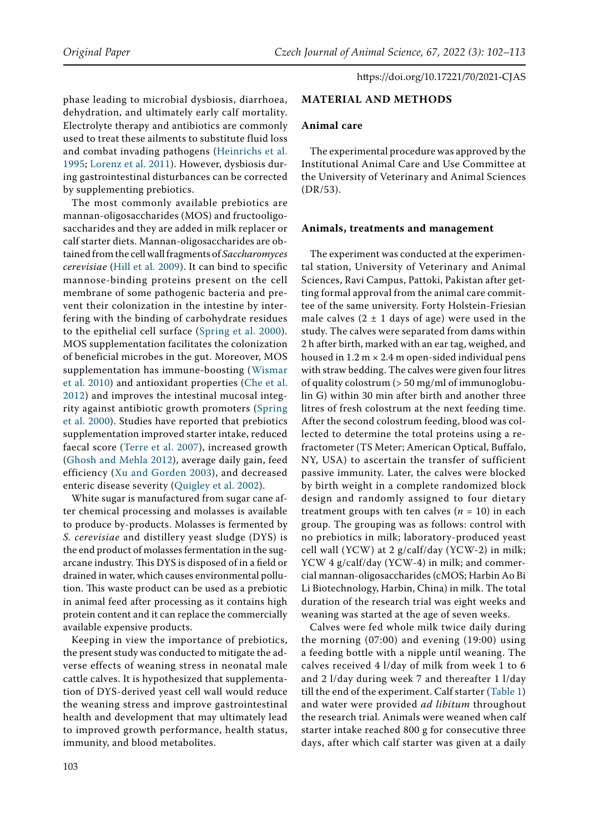phase leading to microbial dysbiosis, diarrhoea, dehydration, and ultimately early calf mortality. Electrolyte therapy and antibiotics are commonly used to treat these ailments to substitute fluid loss and combat invading pathogens ([Heinrichs et al.](#page-10-0)  [1995;](#page-10-0) [Lorenz et al. 2011](#page-11-0)). However, dysbiosis during gastrointestinal disturbances can be corrected by supplementing prebiotics.

The most commonly available prebiotics are mannan-oligosaccharides (MOS) and fructooligosaccharides and they are added in milk replacer or calf starter diets. Mannan-oligosaccharides are obtained from the cell wall fragments of *Saccharomyces cerevisiae* ([Hill et al. 2009\)](#page-10-1). It can bind to specific mannose-binding proteins present on the cell membrane of some pathogenic bacteria and prevent their colonization in the intestine by interfering with the binding of carbohydrate residues to the epithelial cell surface ([Spring et al. 2000](#page-11-1)). MOS supplementation facilitates the colonization of beneficial microbes in the gut. Moreover, MOS supplementation has immune-boosting ([Wismar](#page-11-2)  [et al. 2010](#page-11-2)) and antioxidant properties ([Che et al.](#page-10-2)  [2012\)](#page-10-2) and improves the intestinal mucosal integrity against antibiotic growth promoters ([Spring](#page-11-1)  [et al. 2000](#page-11-1)). Studies have reported that prebiotics supplementation improved starter intake, reduced faecal score ([Terre et al. 2007\)](#page-11-3), increased growth [\(Ghosh and Mehla 2012](#page-10-3)), average daily gain, feed efficiency ([Xu and Gorden 2003](#page-11-4)), and decreased enteric disease severity [\(Quigley et al. 2002\)](#page-11-5).

White sugar is manufactured from sugar cane after chemical processing and molasses is available to produce by-products. Molasses is fermented by *S. cerevisiae* and distillery yeast sludge (DYS) is the end product of molasses fermentation in the sugarcane industry. This DYS is disposed of in a field or drained in water, which causes environmental pollution. This waste product can be used as a prebiotic in animal feed after processing as it contains high protein content and it can replace the commercially available expensive products.

Keeping in view the importance of prebiotics, the present study was conducted to mitigate the adverse effects of weaning stress in neonatal male cattle calves. It is hypothesized that supplementation of DYS-derived yeast cell wall would reduce the weaning stress and improve gastrointestinal health and development that may ultimately lead to improved growth performance, health status, immunity, and blood metabolites.

## **MATERIAL AND METHODS**

### **Animal care**

The experimental procedure was approved by the Institutional Animal Care and Use Committee at the University of Veterinary and Animal Sciences (DR/53).

### **Animals, treatments and management**

The experiment was conducted at the experimental station, University of Veterinary and Animal Sciences, Ravi Campus, Pattoki, Pakistan after getting formal approval from the animal care committee of the same university. Forty Holstein-Friesian male calves  $(2 \pm 1)$  days of age) were used in the study. The calves were separated from dams within 2 h after birth, marked with an ear tag, weighed, and housed in  $1.2 \text{ m} \times 2.4 \text{ m}$  open-sided individual pens with straw bedding. The calves were given four litres of quality colostrum (> 50 mg/ml of immunoglobulin G) within 30 min after birth and another three litres of fresh colostrum at the next feeding time. After the second colostrum feeding, blood was collected to determine the total proteins using a refractometer (TS Meter; American Optical, Buffalo, NY, USA) to ascertain the transfer of sufficient passive immunity. Later, the calves were blocked by birth weight in a complete randomized block design and randomly assigned to four dietary treatment groups with ten calves (*n =* 10) in each group. The grouping was as follows: control with no prebiotics in milk; laboratory-produced yeast cell wall (YCW) at 2 g/calf/day (YCW-2) in milk; YCW 4 g/calf/day (YCW-4) in milk; and commercial mannan-oligosaccharides (cMOS; Harbin Ao Bi Li Biotechnology, Harbin, China) in milk. The total duration of the research trial was eight weeks and weaning was started at the age of seven weeks.

Calves were fed whole milk twice daily during the morning (07:00) and evening (19:00) using a feeding bottle with a nipple until weaning. The calves received 4 l/day of milk from week 1 to 6 and 2 l/day during week 7 and thereafter 1 l/day till the end of the experiment. Calf starter (Table 1) and water were provided *ad libitum* throughout the research trial. Animals were weaned when calf starter intake reached 800 g for consecutive three days, after which calf starter was given at a daily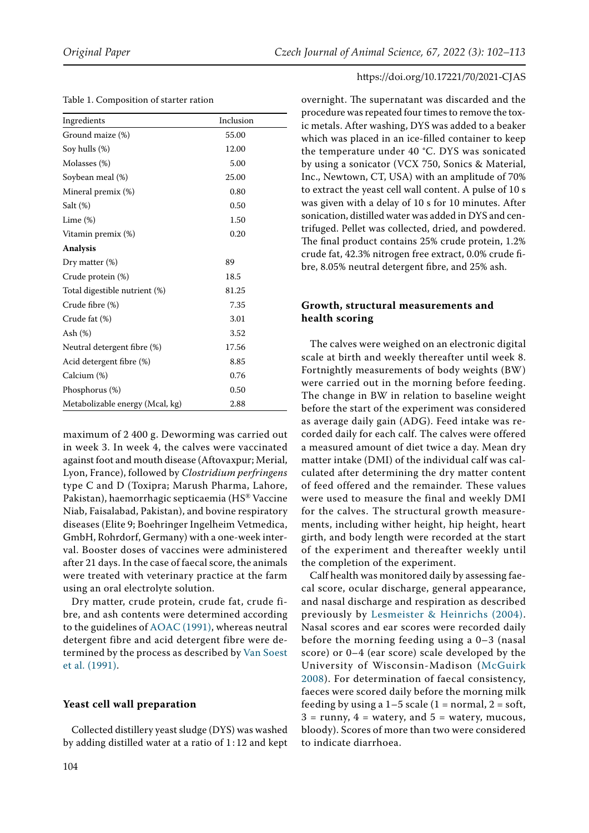|  |  |  |  |  |  |  | Table 1. Composition of starter ration |  |
|--|--|--|--|--|--|--|----------------------------------------|--|
|--|--|--|--|--|--|--|----------------------------------------|--|

| Ingredients                     | Inclusion |
|---------------------------------|-----------|
| Ground maize (%)                | 55.00     |
| Soy hulls (%)                   | 12.00     |
| Molasses (%)                    | 5.00      |
| Soybean meal (%)                | 25.00     |
| Mineral premix (%)              | 0.80      |
| Salt $(\%)$                     | 0.50      |
| Lime (%)                        | 1.50      |
| Vitamin premix (%)              | 0.20      |
| <b>Analysis</b>                 |           |
| Dry matter (%)                  | 89        |
| Crude protein (%)               | 18.5      |
| Total digestible nutrient (%)   | 81.25     |
| Crude fibre (%)                 | 7.35      |
| Crude fat (%)                   | 3.01      |
| Ash (%)                         | 3.52      |
| Neutral detergent fibre (%)     | 17.56     |
| Acid detergent fibre (%)        | 8.85      |
| Calcium (%)                     | 0.76      |
| Phosphorus (%)                  | 0.50      |
| Metabolizable energy (Mcal, kg) | 2.88      |

maximum of 2 400 g. Deworming was carried out in week 3. In week 4, the calves were vaccinated against foot and mouth disease (Aftovaxpur; Merial, Lyon, France), followed by *Clostridium perfringens*  type C and D (Toxipra; Marush Pharma, Lahore, Pakistan), haemorrhagic septicaemia (HS® Vaccine Niab, Faisalabad, Pakistan), and bovine respiratory diseases (Elite 9; Boehringer Ingelheim Vetmedica, GmbH, Rohrdorf, Germany) with a one-week interval. Booster doses of vaccines were administered after 21 days. In the case of faecal score, the animals were treated with veterinary practice at the farm using an oral electrolyte solution.

Dry matter, crude protein, crude fat, crude fibre, and ash contents were determined according to the guidelines of [AOAC \(1991\),](#page-10-5) whereas neutral detergent fibre and acid detergent fibre were determined by the process as described by [Van Soest](#page-11-7)  [et al. \(1991\).](#page-11-7)

### **Yeast cell wall preparation**

Collected distillery yeast sludge (DYS) was washed by adding distilled water at a ratio of  $1:12$  and kept overnight. The supernatant was discarded and the procedure was repeated four times to remove the toxic metals. After washing, DYS was added to a beaker which was placed in an ice-filled container to keep the temperature under 40 °C. DYS was sonicated by using a sonicator (VCX 750, Sonics & Material, Inc., Newtown, CT, USA) with an amplitude of 70% to extract the yeast cell wall content. A pulse of 10 s was given with a delay of 10 s for 10 minutes. After sonication, distilled water was added in DYS and centrifuged. Pellet was collected, dried, and powdered. The final product contains 25% crude protein, 1.2% crude fat, 42.3% nitrogen free extract, 0.0% crude fibre, 8.05% neutral detergent fibre, and 25% ash.

# **Growth, structural measurements and health scoring**

The calves were weighed on an electronic digital scale at birth and weekly thereafter until week 8. Fortnightly measurements of body weights (BW) were carried out in the morning before feeding. The change in BW in relation to baseline weight before the start of the experiment was considered as average daily gain (ADG). Feed intake was recorded daily for each calf. The calves were offered a measured amount of diet twice a day. Mean dry matter intake (DMI) of the individual calf was calculated after determining the dry matter content of feed offered and the remainder. These values were used to measure the final and weekly DMI for the calves. The structural growth measurements, including wither height, hip height, heart girth, and body length were recorded at the start of the experiment and thereafter weekly until the completion of the experiment.

Calf health was monitored daily by assessing faecal score, ocular discharge, general appearance, and nasal discharge and respiration as described previously by [Lesmeister & Heinrichs \(2004\)](#page-10-4). Nasal scores and ear scores were recorded daily before the morning feeding using a 0–3 (nasal score) or 0–4 (ear score) scale developed by the University of Wisconsin-Madison ([McGuirk](#page-11-6) [2008\)](#page-11-6). For determination of faecal consistency, faeces were scored daily before the morning milk feeding by using a  $1-5$  scale (1 = normal, 2 = soft,  $3 =$  runny,  $4 =$  watery, and  $5 =$  watery, mucous, bloody). Scores of more than two were considered to indicate diarrhoea.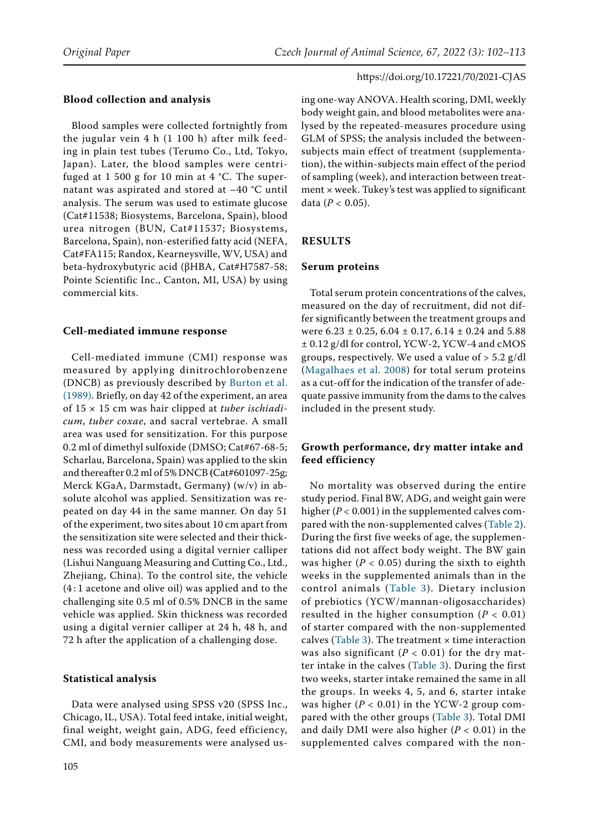## **Blood collection and analysis**

Blood samples were collected fortnightly from the jugular vein 4 h (1 100 h) after milk feeding in plain test tubes (Terumo Co., Ltd, Tokyo, Japan). Later, the blood samples were centrifuged at 1 500 g for 10 min at 4 °C. The supernatant was aspirated and stored at –40 °C until analysis. The serum was used to estimate glucose (Cat#11538; Biosystems, Barcelona, Spain), blood urea nitrogen (BUN, Cat#11537; Biosystems, Barcelona, Spain), non-esterified fatty acid (NEFA, Cat#FA115; Randox, Kearneysville, WV, USA) and beta-hydroxybutyric acid (βHBA, Cat#H7587-58; Pointe Scientific Inc., Canton, MI, USA) by using commercial kits.

### **Cell-mediated immune response**

Cell-mediated immune (CMI) response was measured by applying dinitrochlorobenzene (DNCB) as previously described by [Burton et al.](#page-10-6)  [\(1989\).](#page-10-6) Briefly, on day 42 of the experiment, an area of 15 × 15 cm was hair clipped at *tuber ischiadicum*, *tuber coxae*, and sacral vertebrae. A small area was used for sensitization. For this purpose 0.2 ml of dimethyl sulfoxide (DMSO; Cat#67-68-5; Scharlau, Barcelona, Spain) was applied to the skin and thereafter 0.2 ml of 5% DNCB **(**Cat#601097-25g; Merck KGaA, Darmstadt, Germany**)** (w/v) in absolute alcohol was applied. Sensitization was repeated on day 44 in the same manner. On day 51 of the experiment, two sites about 10 cm apart from the sensitization site were selected and their thickness was recorded using a digital vernier calliper (Lishui Nanguang Measuring and Cutting Co., Ltd., Zhejiang, China). To the control site, the vehicle (4 : 1 acetone and olive oil) was applied and to the challenging site 0.5 ml of 0.5% DNCB in the same vehicle was applied. Skin thickness was recorded using a digital vernier calliper at 24 h, 48 h, and 72 h after the application of a challenging dose.

### **Statistical analysis**

Data were analysed using SPSS v20 (SPSS Inc., Chicago, IL, USA). Total feed intake, initial weight, final weight, weight gain, ADG, feed efficiency, CMI, and body measurements were analysed using one-way ANOVA. Health scoring, DMI, weekly body weight gain, and blood metabolites were analysed by the repeated-measures procedure using GLM of SPSS; the analysis included the betweensubjects main effect of treatment (supplementation), the within-subjects main effect of the period of sampling (week), and interaction between treatment × week. Tukey's test was applied to significant data (*P <* 0.05).

### **RESULTS**

### **Serum proteins**

Total serum protein concentrations of the calves, measured on the day of recruitment, did not differ significantly between the treatment groups and were  $6.23 \pm 0.25$ ,  $6.04 \pm 0.17$ ,  $6.14 \pm 0.24$  and  $5.88$ ± 0.12 g/dl for control, YCW-2, YCW-4 and cMOS groups, respectively. We used a value of  $> 5.2$  g/dl ([Magalhaes et al. 2008\)](#page-11-8) for total serum proteins as a cut-off for the indication of the transfer of adequate passive immunity from the dams to the calves included in the present study.

# **Growth performance, dry matter intake and feed efficiency**

No mortality was observed during the entire study period. Final BW, ADG, and weight gain were higher (*P <* 0.001) in the supplemented calves compared with the non-supplemented calves (Table 2). During the first five weeks of age, the supplementations did not affect body weight. The BW gain was higher (*P <* 0.05) during the sixth to eighth weeks in the supplemented animals than in the control animals (Table 3). Dietary inclusion of prebiotics (YCW/mannan-oligosaccharides) resulted in the higher consumption (*P <* 0.01) of starter compared with the non-supplemented calves (Table 3). The treatment  $\times$  time interaction was also significant (*P <* 0.01) for the dry matter intake in the calves (Table 3). During the first two weeks, starter intake remained the same in all the groups. In weeks 4, 5, and 6, starter intake was higher (*P <* 0.01) in the YCW-2 group compared with the other groups (Table 3). Total DMI and daily DMI were also higher (*P <* 0.01) in the supplemented calves compared with the non-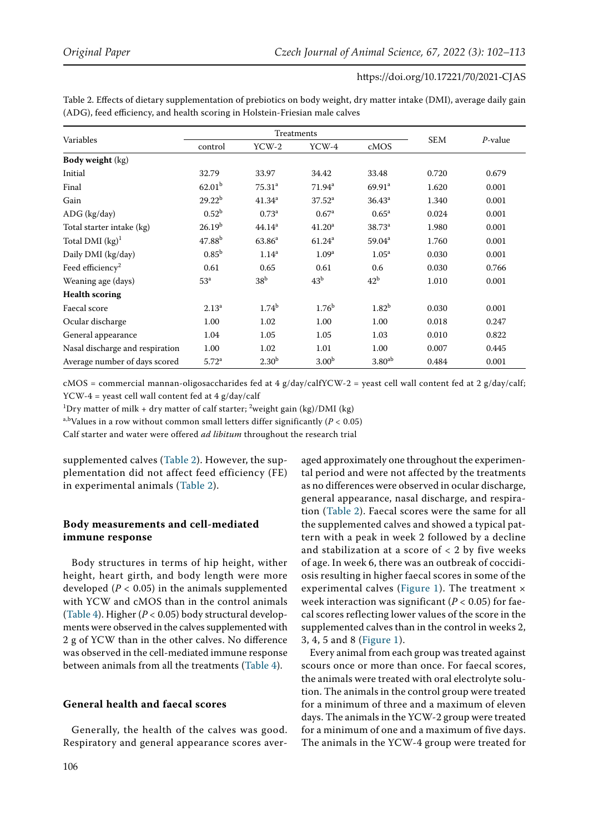| Variables                       |                    |                    | Treatments         |                      |            |            |
|---------------------------------|--------------------|--------------------|--------------------|----------------------|------------|------------|
|                                 | control            | $YCW-2$            | YCW-4              | cMOS                 | <b>SEM</b> | $P$ -value |
| <b>Body weight (kg)</b>         |                    |                    |                    |                      |            |            |
| Initial                         | 32.79              | 33.97              | 34.42              | 33.48                | 0.720      | 0.679      |
| Final                           | 62.01 <sup>b</sup> | $75.31^{a}$        | $71.94^a$          | $69.91$ <sup>a</sup> | 1.620      | 0.001      |
| Gain                            | $29.22^{b}$        | 41.34 <sup>a</sup> | $37.52^a$          | $36.43^a$            | 1.340      | 0.001      |
| ADG (kg/day)                    | 0.52 <sup>b</sup>  | 0.73 <sup>a</sup>  | 0.67 <sup>a</sup>  | $0.65^{\rm a}$       | 0.024      | 0.001      |
| Total starter intake (kg)       | 26.19 <sup>b</sup> | 44.14 <sup>a</sup> | 41.20 <sup>a</sup> | $38.73^{a}$          | 1.980      | 0.001      |
| Total DMI $(kg)^1$              | 47.88 <sup>b</sup> | 63.86 <sup>a</sup> | 61.24 <sup>a</sup> | 59.04 <sup>a</sup>   | 1.760      | 0.001      |
| Daily DMI (kg/day)              | $0.85^{\rm b}$     | $1.14^{a}$         | 1.09 <sup>a</sup>  | 1.05 <sup>a</sup>    | 0.030      | 0.001      |
| Feed efficiency <sup>2</sup>    | 0.61               | 0.65               | 0.61               | 0.6                  | 0.030      | 0.766      |
| Weaning age (days)              | 53 <sup>a</sup>    | 38 <sup>b</sup>    | 43 <sup>b</sup>    | 42 <sup>b</sup>      | 1.010      | 0.001      |
| <b>Health scoring</b>           |                    |                    |                    |                      |            |            |
| Faecal score                    | $2.13^{a}$         | 1.74 <sup>b</sup>  | 1.76 <sup>b</sup>  | 1.82 <sup>b</sup>    | 0.030      | 0.001      |
| Ocular discharge                | 1.00               | 1.02               | 1.00               | 1.00                 | 0.018      | 0.247      |
| General appearance              | 1.04               | 1.05               | 1.05               | 1.03                 | 0.010      | 0.822      |
| Nasal discharge and respiration | 1.00               | 1.02               | 1.01               | 1.00                 | 0.007      | 0.445      |
| Average number of days scored   | 5.72 <sup>a</sup>  | 2.30 <sup>b</sup>  | 3.00 <sup>b</sup>  | 3.80 <sup>ab</sup>   | 0.484      | 0.001      |

Table 2. Effects of dietary supplementation of prebiotics on body weight, dry matter intake (DMI), average daily gain (ADG), feed efficiency, and health scoring in Holstein-Friesian male calves

cMOS = commercial mannan-oligosaccharides fed at 4 g/day/calfYCW-2 = yeast cell wall content fed at 2 g/day/calf; YCW-4 = yeast cell wall content fed at 4 g/day/calf

 $^{1}$ Dry matter of milk + dry matter of calf starter; <sup>2</sup>weight gain (kg)/DMI (kg)

a,bValues in a row without common small letters differ significantly (*P <* 0.05)

Calf starter and water were offered *ad libitum* throughout the research trial

supplemented calves (Table 2). However, the supplementation did not affect feed efficiency (FE) in experimental animals (Table 2).

# **Body measurements and cell-mediated immune response**

Body structures in terms of hip height, wither height, heart girth, and body length were more developed (*P <* 0.05) in the animals supplemented with YCW and cMOS than in the control animals (Table 4). Higher (*P <* 0.05) body structural developments were observed in the calves supplemented with 2 g of YCW than in the other calves. No difference was observed in the cell-mediated immune response between animals from all the treatments (Table 4).

### **General health and faecal scores**

Generally, the health of the calves was good. Respiratory and general appearance scores aver-

aged approximately one throughout the experimental period and were not affected by the treatments as no differences were observed in ocular discharge, general appearance, nasal discharge, and respiration (Table 2). Faecal scores were the same for all the supplemented calves and showed a typical pattern with a peak in week 2 followed by a decline and stabilization at a score of  $<$  2 by five weeks of age. In week 6, there was an outbreak of coccidiosis resulting in higher faecal scores in some of the experimental calves ([Figure 1\)](#page-6-0). The treatment x week interaction was significant (*P <* 0.05) for faecal scores reflecting lower values of the score in the supplemented calves than in the control in weeks 2, 3, 4, 5 and 8 ([Figure 1](#page-6-0)).

Every animal from each group was treated against scours once or more than once. For faecal scores, the animals were treated with oral electrolyte solution. The animals in the control group were treated for a minimum of three and a maximum of eleven days. The animals in the YCW-2 group were treated for a minimum of one and a maximum of five days. The animals in the YCW-4 group were treated for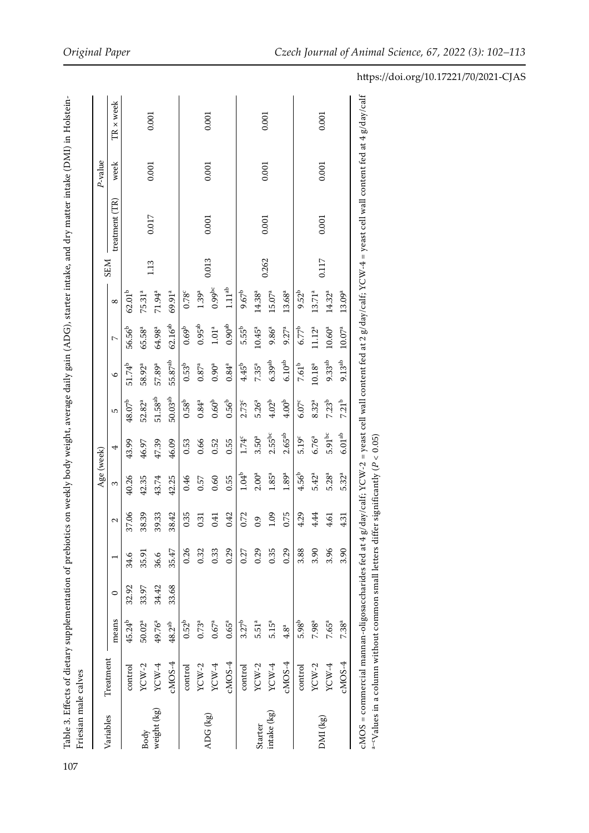| $\frac{1}{2}$ $\frac{1}{2}$ $\frac{1}{2}$ $\frac{1}{2}$ $\frac{1}{2}$ $\frac{1}{2}$ $\frac{1}{2}$ $\frac{1}{2}$ $\frac{1}{2}$ $\frac{1}{2}$ $\frac{1}{2}$ $\frac{1}{2}$ $\frac{1}{2}$ $\frac{1}{2}$ $\frac{1}{2}$ $\frac{1}{2}$ $\frac{1}{2}$ $\frac{1}{2}$ $\frac{1}{2}$ $\frac{1}{2}$ $\frac{1}{2}$ $\frac{1}{2}$ |                           |
|---------------------------------------------------------------------------------------------------------------------------------------------------------------------------------------------------------------------------------------------------------------------------------------------------------------------|---------------------------|
|                                                                                                                                                                                                                                                                                                                     |                           |
|                                                                                                                                                                                                                                                                                                                     |                           |
|                                                                                                                                                                                                                                                                                                                     |                           |
|                                                                                                                                                                                                                                                                                                                     |                           |
|                                                                                                                                                                                                                                                                                                                     |                           |
|                                                                                                                                                                                                                                                                                                                     |                           |
|                                                                                                                                                                                                                                                                                                                     |                           |
|                                                                                                                                                                                                                                                                                                                     |                           |
|                                                                                                                                                                                                                                                                                                                     |                           |
|                                                                                                                                                                                                                                                                                                                     |                           |
|                                                                                                                                                                                                                                                                                                                     |                           |
|                                                                                                                                                                                                                                                                                                                     |                           |
|                                                                                                                                                                                                                                                                                                                     |                           |
|                                                                                                                                                                                                                                                                                                                     |                           |
| ody weight, average daily gain (ADG), starter intake, and dry mai                                                                                                                                                                                                                                                   |                           |
|                                                                                                                                                                                                                                                                                                                     |                           |
|                                                                                                                                                                                                                                                                                                                     |                           |
| tics on weekly bo                                                                                                                                                                                                                                                                                                   |                           |
|                                                                                                                                                                                                                                                                                                                     |                           |
|                                                                                                                                                                                                                                                                                                                     |                           |
|                                                                                                                                                                                                                                                                                                                     |                           |
|                                                                                                                                                                                                                                                                                                                     |                           |
|                                                                                                                                                                                                                                                                                                                     |                           |
|                                                                                                                                                                                                                                                                                                                     |                           |
|                                                                                                                                                                                                                                                                                                                     |                           |
|                                                                                                                                                                                                                                                                                                                     |                           |
|                                                                                                                                                                                                                                                                                                                     |                           |
|                                                                                                                                                                                                                                                                                                                     |                           |
|                                                                                                                                                                                                                                                                                                                     | $\ddot{\phantom{0}}$<br>I |
|                                                                                                                                                                                                                                                                                                                     |                           |

|             |           |                    |       |       |       | Age (week)        |                      |                     |                    |                    |                    |            |                | P-value |           |
|-------------|-----------|--------------------|-------|-------|-------|-------------------|----------------------|---------------------|--------------------|--------------------|--------------------|------------|----------------|---------|-----------|
| Variables   | Treatment | means              | 0     |       | 2     | 3                 | 4                    | 5                   | $\circ$            | $\sim$             | $^{\circ}$         | <b>SEM</b> | treatment (TR) | week    | TR x week |
|             | control   | 45.24 <sup>b</sup> | 32.92 | 34.6  | 37.06 | 40.26             | 43.99                | $48.07^{b}$         | 51.74 <sup>b</sup> | 56.56 <sup>b</sup> | $62.01^{b}$        |            |                |         |           |
| Body        | $YCW-2$   | 50.02 <sup>a</sup> | 33.97 | 35.91 | 38.39 | 42.35             | 46.97                | 52.82 <sup>a</sup>  | 58.92ª             | 65.58ª             | 75.31 <sup>a</sup> |            |                |         |           |
| weight (kg) | YCW-4     | 49.76ª             | 34.42 | 36.6  | 39.33 | 43.74             | 47.39                | 51.58 <sup>ab</sup> | 57.89ª             | 64.98ª             | 71.94ª             | 1.13       | 0.017          | 0.001   | 0.001     |
|             | $cMOS-4$  | $48.2^{ab}$        | 33.68 | 35.47 | 38.42 | 42.25             | 46.09                | $50.03^{\rm ab}$    | $55.87^{\rm ab}$   | $62.16^{ab}$       | 69.91ª             |            |                |         |           |
|             | control   | 0.52 <sup>b</sup>  |       | 0.26  | 0.35  | 0.46              | 0.53                 | $0.58^{b}$          | 0.53 <sup>b</sup>  | 0.69 <sup>b</sup>  | 0.78c              |            |                |         |           |
|             | $YCW-2$   | $0.73^{a}$         |       | 0.32  | 0.31  | 0.57              | 0.66                 | $0.84^{a}$          | $0.87^{a}$         | $0.95^{ab}$        | 1.39 <sup>a</sup>  |            |                |         |           |
| ADG (kg)    | $YCW-4$   | 0.67 <sup>a</sup>  |       | 0.33  | 0.41  | 0.60              | 0.52                 | 0.60 <sup>b</sup>   | $0.90^{a}$         | $1.01^{\rm a}$     | $0.99$ bc          | 0.013      | 0.001          | 0.001   | 0.001     |
|             | $cMOS-4$  | $0.65^{a}$         |       | 0.29  | 0.42  | 0.55              | 0.55                 | $0.56^{b}$          | $0.84^{a}$         | $0.90^{\rm ab}$    | $1.11^{ab}$        |            |                |         |           |
|             | control   | 3.27 <sup>b</sup>  |       | 0.27  | 0.72  | $1.04^{b}$        | 1.74°                | 2.73 <sup>c</sup>   | $4.45^{b}$         | $5.55^{\rm b}$     | $9.67^{b}$         |            |                |         |           |
| Starter     | $YCW-2$   | 5.51 <sup>a</sup>  |       | 0.29  | 0.9   | 2.00 <sup>a</sup> | 3.50 <sup>a</sup>    | $5.26^{a}$          | 7.35 <sup>a</sup>  | $10.45^{\rm a}$    | 14.38 <sup>a</sup> |            |                |         |           |
| intake (kg) | YCW-4     | 5.15 <sup>a</sup>  |       | 0.35  | 1.09  | $1.85^{a}$        | $2.55^{\rm bc}$      | 4.02 <sup>b</sup>   | 6.39 <sup>ab</sup> | 9.86 <sup>a</sup>  | $15.07^{a}$        | 0.262      | 0.001          | 0.001   | 0.001     |
|             | $cMOS-4$  | 4.8 <sup>a</sup>   |       | 0.29  | 0.75  | 1.89 <sup>a</sup> | $2.65^{\rm ab}$      | 4.00 <sup>b</sup>   | $6.10^{ab}$        | $9.27^{a}$         | 13.68 <sup>a</sup> |            |                |         |           |
|             | control   | $5.98^{b}$         |       | 3.88  | 4.29  | $4.56^{b}$        | 5.19 <sup>c</sup>    | $6.07^{\circ}$      | 7.61 <sup>b</sup>  | $6.77^{b}$         | $9.52^{b}$         |            |                |         |           |
| DMI (kg)    | $YCW-2$   | 7.98 <sup>a</sup>  |       | 3.90  | 4.44  | $5.42^{a}$        | 6.76 <sup>a</sup>    | $8.32^{a}$          | $10.18^{a}$        | 11.12 <sup>a</sup> | 13.71 <sup>a</sup> | 0.117      |                | 0.001   | 0.001     |
|             | YCW-4     | 7.65ª              |       | 3.96  | 4.61  | 5.28 <sup>a</sup> | $5.91$ <sub>bc</sub> | 7.23 <sup>b</sup>   | $9.33^{ab}$        | $10.60^{a}$        | 14.32ª             |            | 0.001          |         |           |
|             | $cMOS-4$  | 7.38 <sup>a</sup>  |       | 3.90  | 4.31  | 5.32ª             | $6.01^{\rm ab}$      | 7.21 <sup>b</sup>   | $9.13^{ab}$        | $10.07^{\rm a}$    | $13.09^{a}$        |            |                |         |           |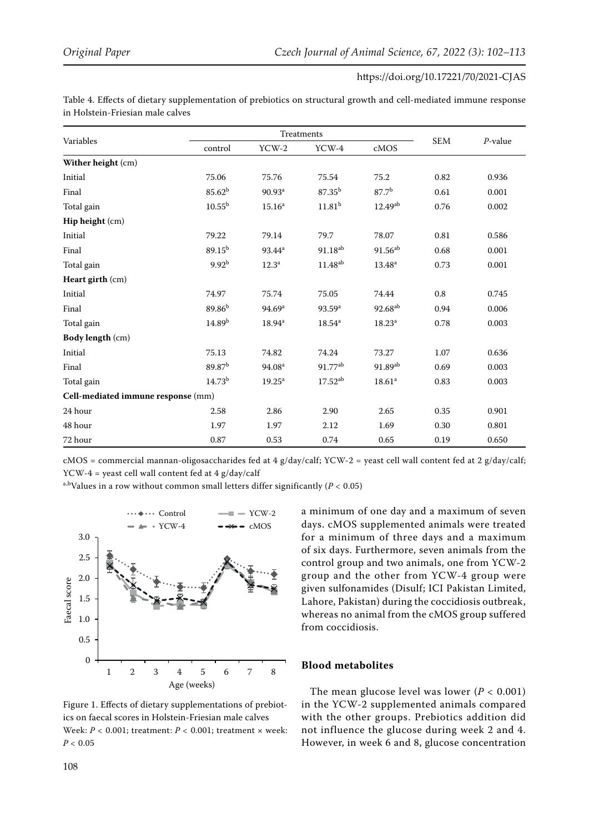|                                    |                    |                    | Treatments          |                     |            |            |
|------------------------------------|--------------------|--------------------|---------------------|---------------------|------------|------------|
| Variables                          | control            | $YCW-2$            | YCW-4               | cMOS                | <b>SEM</b> | $P$ -value |
| Wither height (cm)                 |                    |                    |                     |                     |            |            |
| Initial                            | 75.06              | 75.76              | 75.54               | 75.2                | 0.82       | 0.936      |
| Final                              | $85.62^{b}$        | 90.93 <sup>a</sup> | $87.35^{b}$         | 87.7 <sup>b</sup>   | 0.61       | 0.001      |
| Total gain                         | $10.55^{b}$        | 15.16 <sup>a</sup> | 11.81 <sup>b</sup>  | $12.49^{ab}$        | 0.76       | 0.002      |
| Hip height (cm)                    |                    |                    |                     |                     |            |            |
| Initial                            | 79.22              | 79.14              | 79.7                | 78.07               | 0.81       | 0.586      |
| Final                              | $89.15^{b}$        | 93.44 <sup>a</sup> | 91.18 <sup>ab</sup> | $91.56^{ab}$        | 0.68       | 0.001      |
| Total gain                         | 9.92 <sup>b</sup>  | 12.3 <sup>a</sup>  | 11.48 <sup>ab</sup> | $13.48^{\rm a}$     | 0.73       | 0.001      |
| Heart girth (cm)                   |                    |                    |                     |                     |            |            |
| Initial                            | 74.97              | 75.74              | 75.05               | 74.44               | $0.8\,$    | 0.745      |
| Final                              | 89.86 <sup>b</sup> | 94.69 <sup>a</sup> | 93.59 <sup>a</sup>  | 92.68 <sup>ab</sup> | 0.94       | 0.006      |
| Total gain                         | 14.89 <sup>b</sup> | $18.94^{\rm a}$    | $18.54^{\rm a}$     | $18.23^a$           | 0.78       | 0.003      |
| Body length (cm)                   |                    |                    |                     |                     |            |            |
| Initial                            | 75.13              | 74.82              | 74.24               | 73.27               | 1.07       | 0.636      |
| Final                              | 89.87 <sup>b</sup> | 94.08 <sup>a</sup> | 91.77 <sup>ab</sup> | $91.89^{ab}$        | 0.69       | 0.003      |
| Total gain                         | 14.73 <sup>b</sup> | $19.25^{\rm a}$    | $17.52^{ab}$        | 18.61 <sup>a</sup>  | 0.83       | 0.003      |
| Cell-mediated immune response (mm) |                    |                    |                     |                     |            |            |
| 24 hour                            | 2.58               | 2.86               | 2.90                | 2.65                | 0.35       | 0.901      |
| 48 hour                            | 1.97               | 1.97               | 2.12                | 1.69                | 0.30       | 0.801      |
| 72 hour                            | 0.87               | 0.53               | 0.74                | 0.65                | 0.19       | 0.650      |

Table 4. Effects of dietary supplementation of prebiotics on structural growth and cell-mediated immune response in Holstein-Friesian male calves

cMOS = commercial mannan-oligosaccharides fed at 4 g/day/calf; YCW-2 = yeast cell wall content fed at 2 g/day/calf; YCW-4 = yeast cell wall content fed at 4 g/day/calf

a,bValues in a row without common small letters differ significantly (*P <* 0.05)

<span id="page-6-0"></span>

Figure 1. Effects of dietary supplementations of prebiotics on faecal scores in Holstein-Friesian male calves Week: *P <* 0.001; treatment: *P <* 0.001; treatment × week: *P <* 0.05

a minimum of one day and a maximum of seven days. cMOS supplemented animals were treated for a minimum of three days and a maximum of six days. Furthermore, seven animals from the control group and two animals, one from YCW-2 group and the other from YCW-4 group were given sulfonamides (Disulf; ICI Pakistan Limited, Lahore, Pakistan) during the coccidiosis outbreak, whereas no animal from the cMOS group suffered from coccidiosis.

### **Blood metabolites**

The mean glucose level was lower (*P <* 0.001) in the YCW-2 supplemented animals compared with the other groups. Prebiotics addition did not influence the glucose during week 2 and 4. However, in week 6 and 8, glucose concentration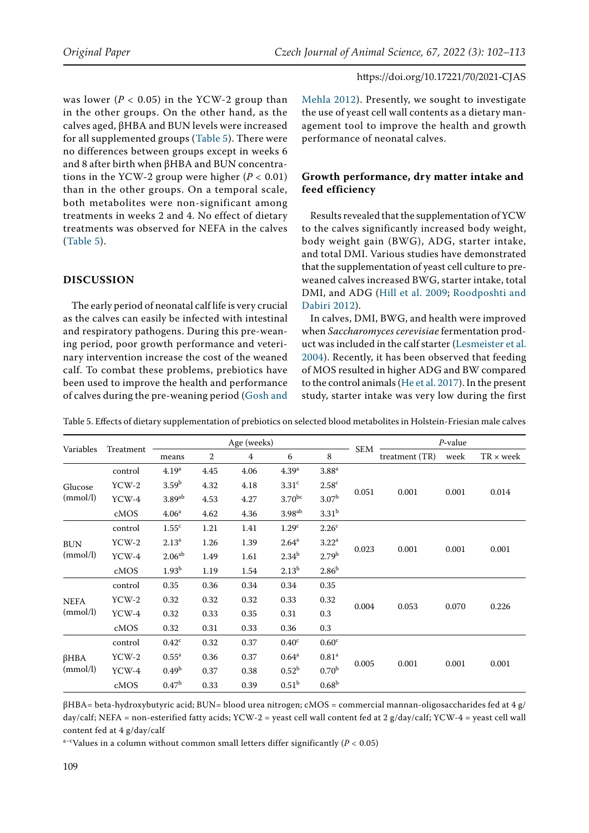was lower (*P <* 0.05) in the YCW-2 group than in the other groups. On the other hand, as the calves aged, βHBA and BUN levels were increased for all supplemented groups (Table 5). There were no differences between groups except in weeks 6 and 8 after birth when βHBA and BUN concentrations in the YCW-2 group were higher (*P <* 0.01) than in the other groups. On a temporal scale, both metabolites were non-significant among treatments in weeks 2 and 4. No effect of dietary treatments was observed for NEFA in the calves (Table 5).

# **DISCUSSION**

The early period of neonatal calf life is very crucial as the calves can easily be infected with intestinal and respiratory pathogens. During this pre-weaning period, poor growth performance and veterinary intervention increase the cost of the weaned calf. To combat these problems, prebiotics have been used to improve the health and performance of calves during the pre-weaning period ([Gosh and](#page-10-3)  [Mehla 2012](#page-10-3)). Presently, we sought to investigate the use of yeast cell wall contents as a dietary management tool to improve the health and growth performance of neonatal calves.

# **Growth performance, dry matter intake and feed efficiency**

Results revealed that the supplementation of YCW to the calves significantly increased body weight, body weight gain (BWG), ADG, starter intake, and total DMI. Various studies have demonstrated that the supplementation of yeast cell culture to preweaned calves increased BWG, starter intake, total DMI, and ADG [\(Hill et al. 2009](#page-10-1); [Roodposhti and](#page-11-9)  [Dabiri 2012\)](#page-11-9).

In calves, DMI, BWG, and health were improved when *Saccharomyces cerevisiae* fermentation product was included in the calf starter ([Lesmeister et al.](#page-10-7) [2004](#page-10-7)). Recently, it has been observed that feeding of MOS resulted in higher ADG and BW compared to the control animals ([He et al. 2017\)](#page-10-8). In the present study, starter intake was very low during the first

| Variables   |           |                      |      | Age (weeks) |                    |                   |            |                | $P$ -value                                                           |                  |
|-------------|-----------|----------------------|------|-------------|--------------------|-------------------|------------|----------------|----------------------------------------------------------------------|------------------|
|             | Treatment | means                | 2    | 4           | 6                  | 8                 | <b>SEM</b> | treatment (TR) | week                                                                 | $TR \times week$ |
|             | control   | 4.19 <sup>a</sup>    | 4.45 | 4.06        | 4.39 <sup>a</sup>  | 3.88 <sup>a</sup> |            |                |                                                                      |                  |
| Glucose     | $YCW-2$   | 3.59 <sup>b</sup>    | 4.32 | 4.18        | 3.31 <sup>c</sup>  | 2.58 <sup>c</sup> |            | 0.001          | 0.001<br>0.014<br>0.001<br>0.001<br>0.070<br>0.226<br>0.001<br>0.001 |                  |
| (mmol/l)    | YCW-4     | $3.89$ <sup>ab</sup> | 4.53 | 4.27        | $3.70^{bc}$        | 3.07 <sup>b</sup> | 0.051      |                |                                                                      |                  |
|             | cMOS      | 4.06 <sup>a</sup>    | 4.62 | 4.36        | 3.98 <sup>ab</sup> | 3.31 <sup>b</sup> |            |                |                                                                      |                  |
|             | control   | 1.55 <sup>c</sup>    | 1.21 | 1.41        | 1.29 <sup>c</sup>  | 2.26 <sup>c</sup> |            |                |                                                                      |                  |
| <b>BUN</b>  | $YCW-2$   | 2.13 <sup>a</sup>    | 1.26 | 1.39        | $2.64^{\rm a}$     | 3.22 <sup>a</sup> |            | 0.001          |                                                                      |                  |
| (mmol/l)    | YCW-4     | 2.06 <sup>ab</sup>   | 1.49 | 1.61        | $2.34^{b}$         | 2.79 <sup>b</sup> | 0.023      |                |                                                                      |                  |
|             | cMOS      | 1.93 <sup>b</sup>    | 1.19 | 1.54        | $2.13^b$           | $2.86^{b}$        |            |                |                                                                      |                  |
|             | control   | 0.35                 | 0.36 | 0.34        | 0.34               | 0.35              |            | 0.053          |                                                                      |                  |
| <b>NEFA</b> | $YCW-2$   | 0.32                 | 0.32 | 0.32        | 0.33               | 0.32              |            |                |                                                                      |                  |
| (mmol/l)    | YCW-4     | 0.32                 | 0.33 | 0.35        | 0.31               | 0.3               | 0.004      |                |                                                                      |                  |
|             | cMOS      | 0.32                 | 0.31 | 0.33        | 0.36               | 0.3               |            |                |                                                                      |                  |
|             | control   | $0.42^{\circ}$       | 0.32 | 0.37        | 0.40 <sup>c</sup>  | 0.60 <sup>c</sup> |            |                |                                                                      |                  |
| $\beta$ HBA | $YCW-2$   | $0.55^{\rm a}$       | 0.36 | 0.37        | $0.64^{\rm a}$     | 0.81 <sup>a</sup> |            |                |                                                                      |                  |
| (mmol/l)    | $YCW-4$   | 0.49 <sup>b</sup>    | 0.37 | 0.38        | 0.52 <sup>b</sup>  | 0.70 <sup>b</sup> | 0.005      | 0.001          |                                                                      |                  |
|             | cMOS      | 0.47 <sup>b</sup>    | 0.33 | 0.39        | 0.51 <sup>b</sup>  | 0.68 <sup>b</sup> |            |                |                                                                      |                  |

Table 5. Effects of dietary supplementation of prebiotics on selected blood metabolites in Holstein-Friesian male calves

βHBA= beta-hydroxybutyric acid; BUN= blood urea nitrogen; cMOS = commercial mannan-oligosaccharides fed at 4 g/ day/calf; NEFA = non-esterified fatty acids; YCW-2 = yeast cell wall content fed at 2 g/day/calf; YCW-4 = yeast cell wall content fed at 4 g/day/calf

a–cValues in a column without common small letters differ significantly (*P <* 0.05)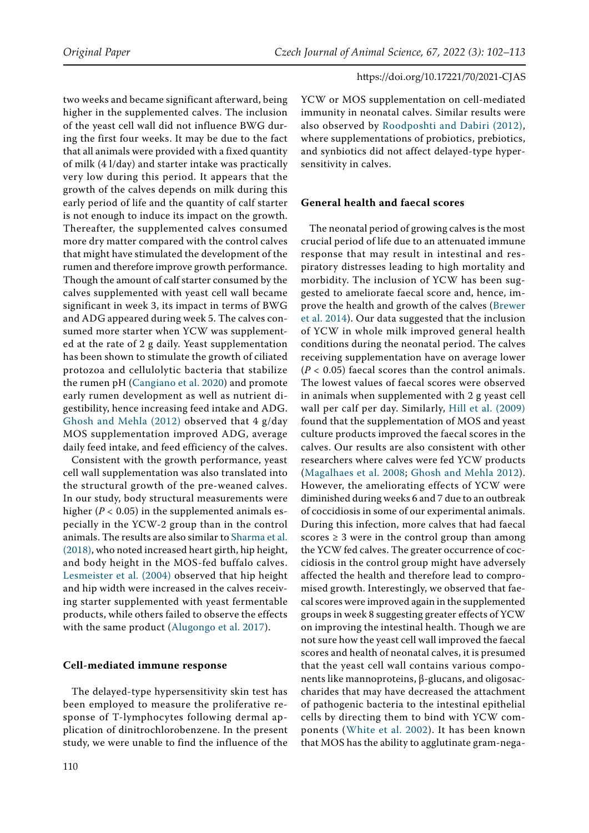two weeks and became significant afterward, being higher in the supplemented calves. The inclusion of the yeast cell wall did not influence BWG during the first four weeks. It may be due to the fact that all animals were provided with a fixed quantity of milk (4 l/day) and starter intake was practically very low during this period. It appears that the growth of the calves depends on milk during this early period of life and the quantity of calf starter is not enough to induce its impact on the growth. Thereafter, the supplemented calves consumed more dry matter compared with the control calves that might have stimulated the development of the rumen and therefore improve growth performance. Though the amount of calf starter consumed by the calves supplemented with yeast cell wall became significant in week 3, its impact in terms of BWG and ADG appeared during week 5. The calves consumed more starter when YCW was supplemented at the rate of 2 g daily. Yeast supplementation has been shown to stimulate the growth of ciliated protozoa and cellulolytic bacteria that stabilize the rumen pH ([Cangiano et al. 2020](#page-10-9)) and promote early rumen development as well as nutrient digestibility, hence increasing feed intake and ADG. [Ghosh and Mehla \(2012\)](#page-10-3) observed that 4 g/day MOS supplementation improved ADG, average daily feed intake, and feed efficiency of the calves.

Consistent with the growth performance, yeast cell wall supplementation was also translated into the structural growth of the pre-weaned calves. In our study, body structural measurements were higher (*P <* 0.05) in the supplemented animals especially in the YCW-2 group than in the control animals. The results are also similar to [Sharma et al.](#page-11-10)  [\(2018\)](#page-11-10), who noted increased heart girth, hip height, and body height in the MOS-fed buffalo calves. [Lesmeister et al. \(2004\)](#page-10-7) observed that hip height and hip width were increased in the calves receiving starter supplemented with yeast fermentable products, while others failed to observe the effects with the same product [\(Alugongo et al. 2017](#page-10-10)).

# **Cell-mediated immune response**

The delayed-type hypersensitivity skin test has been employed to measure the proliferative response of T-lymphocytes following dermal application of dinitrochlorobenzene. In the present study, we were unable to find the influence of the YCW or MOS supplementation on cell-mediated immunity in neonatal calves. Similar results were also observed by [Roodposhti and Dabiri \(2012\),](#page-11-9) where supplementations of probiotics, prebiotics, and synbiotics did not affect delayed-type hypersensitivity in calves.

# **General health and faecal scores**

The neonatal period of growing calves is the most crucial period of life due to an attenuated immune response that may result in intestinal and respiratory distresses leading to high mortality and morbidity. The inclusion of YCW has been suggested to ameliorate faecal score and, hence, improve the health and growth of the calves [\(Brewer](#page-10-11) [et al. 2014\)](#page-10-11). Our data suggested that the inclusion of YCW in whole milk improved general health conditions during the neonatal period. The calves receiving supplementation have on average lower (*P <* 0.05) faecal scores than the control animals. The lowest values of faecal scores were observed in animals when supplemented with 2 g yeast cell wall per calf per day. Similarly, [Hill et al. \(2009\)](#page-10-1) found that the supplementation of MOS and yeast culture products improved the faecal scores in the calves. Our results are also consistent with other researchers where calves were fed YCW products ([Magalhaes et al. 2008;](#page-11-8) [Ghosh and Mehla 2012\)](#page-10-3). However, the ameliorating effects of YCW were diminished during weeks 6 and 7 due to an outbreak of coccidiosis in some of our experimental animals. During this infection, more calves that had faecal scores  $\geq 3$  were in the control group than among the YCW fed calves. The greater occurrence of coccidiosis in the control group might have adversely affected the health and therefore lead to compromised growth. Interestingly, we observed that faecal scores were improved again in the supplemented groups in week 8 suggesting greater effects of YCW on improving the intestinal health. Though we are not sure how the yeast cell wall improved the faecal scores and health of neonatal calves, it is presumed that the yeast cell wall contains various components like mannoproteins, β-glucans, and oligosaccharides that may have decreased the attachment of pathogenic bacteria to the intestinal epithelial cells by directing them to bind with YCW components ([White et al. 2002\)](#page-11-11). It has been known that MOS has the ability to agglutinate gram-nega-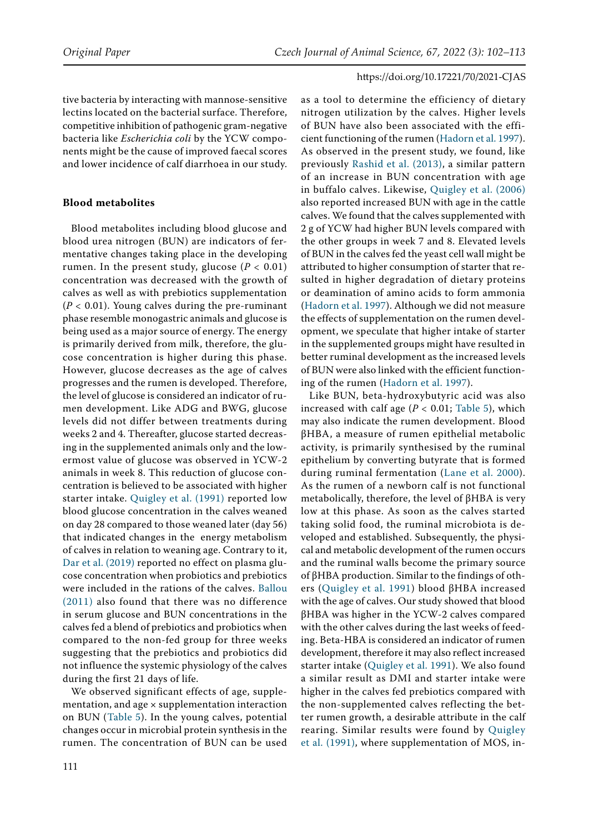tive bacteria by interacting with mannose-sensitive lectins located on the bacterial surface. Therefore, competitive inhibition of pathogenic gram-negative bacteria like *Escherichia coli* by the YCW components might be the cause of improved faecal scores and lower incidence of calf diarrhoea in our study.

### **Blood metabolites**

Blood metabolites including blood glucose and blood urea nitrogen (BUN) are indicators of fermentative changes taking place in the developing rumen. In the present study, glucose (*P <* 0.01) concentration was decreased with the growth of calves as well as with prebiotics supplementation (*P <* 0.01). Young calves during the pre-ruminant phase resemble monogastric animals and glucose is being used as a major source of energy. The energy is primarily derived from milk, therefore, the glucose concentration is higher during this phase. However, glucose decreases as the age of calves progresses and the rumen is developed. Therefore, the level of glucose is considered an indicator of rumen development. Like ADG and BWG, glucose levels did not differ between treatments during weeks 2 and 4. Thereafter, glucose started decreasing in the supplemented animals only and the lowermost value of glucose was observed in YCW-2 animals in week 8. This reduction of glucose concentration is believed to be associated with higher starter intake. [Quigley et al. \(1991\)](#page-11-12) reported low blood glucose concentration in the calves weaned on day 28 compared to those weaned later (day 56) that indicated changes in the energy metabolism of calves in relation to weaning age. Contrary to it, [Dar et al. \(2019\)](#page-10-12) reported no effect on plasma glucose concentration when probiotics and prebiotics were included in the rations of the calves. [Ballou](#page-10-13) [\(2011\)](#page-10-13) also found that there was no difference in serum glucose and BUN concentrations in the calves fed a blend of prebiotics and probiotics when compared to the non-fed group for three weeks suggesting that the prebiotics and probiotics did not influence the systemic physiology of the calves during the first 21 days of life.

We observed significant effects of age, supplementation, and age  $\times$  supplementation interaction on BUN (Table 5). In the young calves, potential changes occur in microbial protein synthesis in the rumen. The concentration of BUN can be used

as a tool to determine the efficiency of dietary nitrogen utilization by the calves. Higher levels of BUN have also been associated with the efficient functioning of the rumen ([Hadorn et al. 1997](#page-10-14)). As observed in the present study, we found, like previously [Rashid et al. \(2013\)](#page-11-13), a similar pattern of an increase in BUN concentration with age in buffalo calves. Likewise, [Quigley et al. \(2006\)](#page-11-14) also reported increased BUN with age in the cattle calves. We found that the calves supplemented with 2 g of YCW had higher BUN levels compared with the other groups in week 7 and 8. Elevated levels of BUN in the calves fed the yeast cell wall might be attributed to higher consumption of starter that resulted in higher degradation of dietary proteins or deamination of amino acids to form ammonia ([Hadorn et al. 1997](#page-10-14)). Although we did not measure the effects of supplementation on the rumen development, we speculate that higher intake of starter in the supplemented groups might have resulted in better ruminal development as the increased levels of BUN were also linked with the efficient functioning of the rumen [\(Hadorn et al. 1997](#page-10-14)).

Like BUN, beta-hydroxybutyric acid was also increased with calf age (*P <* 0.01; Table 5), which may also indicate the rumen development. Blood βHBA, a measure of rumen epithelial metabolic activity, is primarily synthesised by the ruminal epithelium by converting butyrate that is formed during ruminal fermentation ([Lane et al. 2000\)](#page-10-15). As the rumen of a newborn calf is not functional metabolically, therefore, the level of βHBA is very low at this phase. As soon as the calves started taking solid food, the ruminal microbiota is developed and established. Subsequently, the physical and metabolic development of the rumen occurs and the ruminal walls become the primary source of βHBA production. Similar to the findings of others [\(Quigley et al. 1991\)](#page-11-12) blood βHBA increased with the age of calves. Our study showed that blood βHBA was higher in the YCW-2 calves compared with the other calves during the last weeks of feeding. Beta-HBA is considered an indicator of rumen development, therefore it may also reflect increased starter intake ([Quigley et al. 1991\)](#page-11-12). We also found a similar result as DMI and starter intake were higher in the calves fed prebiotics compared with the non-supplemented calves reflecting the better rumen growth, a desirable attribute in the calf rearing. Similar results were found by [Quigley](#page-11-12)  [et al. \(1991\)](#page-11-12), where supplementation of MOS, in-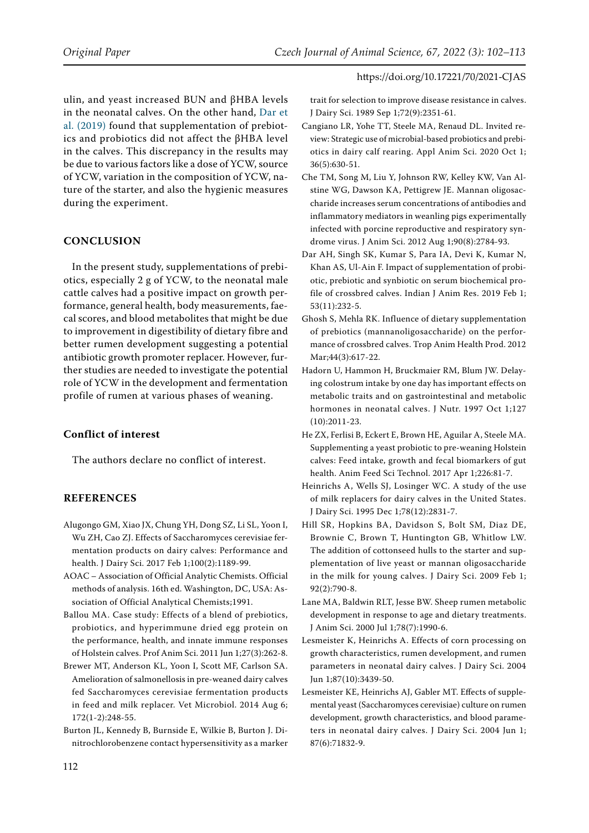ulin, and yeast increased BUN and βHBA levels in the neonatal calves. On the other hand, [Dar et](#page-10-12) [al. \(2019\)](#page-10-12) found that supplementation of prebiotics and probiotics did not affect the βHBA level in the calves. This discrepancy in the results may be due to various factors like a dose of YCW, source of YCW, variation in the composition of YCW, nature of the starter, and also the hygienic measures during the experiment.

### **CONCLUSION**

In the present study, supplementations of prebiotics, especially 2 g of YCW, to the neonatal male cattle calves had a positive impact on growth performance, general health, body measurements, faecal scores, and blood metabolites that might be due to improvement in digestibility of dietary fibre and better rumen development suggesting a potential antibiotic growth promoter replacer. However, further studies are needed to investigate the potential role of YCW in the development and fermentation profile of rumen at various phases of weaning.

### **Conflict of interest**

The authors declare no conflict of interest.

### **REFERENCES**

- <span id="page-10-10"></span>Alugongo GM, Xiao JX, Chung YH, Dong SZ, Li SL, Yoon I, Wu ZH, Cao ZJ. Effects of Saccharomyces cerevisiae fermentation products on dairy calves: Performance and health. J Dairy Sci. 2017 Feb 1;100(2):1189-99.
- <span id="page-10-5"></span>AOAC – Association of Official Analytic Chemists. Official methods of analysis. 16th ed. Washington, DC, USA: Association of Official Analytical Chemists;1991.
- <span id="page-10-13"></span>Ballou MA. Case study: Effects of a blend of prebiotics, probiotics, and hyperimmune dried egg protein on the performance, health, and innate immune responses of Holstein calves. Prof Anim Sci. 2011 Jun 1;27(3):262-8.
- <span id="page-10-11"></span>Brewer MT, Anderson KL, Yoon I, Scott MF, Carlson SA. Amelioration of salmonellosis in pre-weaned dairy calves fed Saccharomyces cerevisiae fermentation products in feed and milk replacer. Vet Microbiol. 2014 Aug 6; 172(1-2):248-55.
- <span id="page-10-6"></span>Burton JL, Kennedy B, Burnside E, Wilkie B, Burton J. Dinitrochlorobenzene contact hypersensitivity as a marker

trait for selection to improve disease resistance in calves. J Dairy Sci. 1989 Sep 1;72(9):2351-61.

- <span id="page-10-9"></span>Cangiano LR, Yohe TT, Steele MA, Renaud DL. Invited review: Strategic use of microbial-based probiotics and prebiotics in dairy calf rearing. Appl Anim Sci. 2020 Oct 1; 36(5):630-51.
- <span id="page-10-2"></span>Che TM, Song M, Liu Y, Johnson RW, Kelley KW, Van Alstine WG, Dawson KA, Pettigrew JE. Mannan oligosaccharide increases serum concentrations of antibodies and inflammatory mediators in weanling pigs experimentally infected with porcine reproductive and respiratory syndrome virus. J Anim Sci. 2012 Aug 1;90(8):2784-93.
- <span id="page-10-12"></span>Dar AH, Singh SK, Kumar S, Para IA, Devi K, Kumar N, Khan AS, Ul-Ain F. Impact of supplementation of probiotic, prebiotic and synbiotic on serum biochemical profile of crossbred calves. Indian J Anim Res. 2019 Feb 1; 53(11):232-5.
- <span id="page-10-3"></span>Ghosh S, Mehla RK. Influence of dietary supplementation of prebiotics (mannanoligosaccharide) on the performance of crossbred calves. Trop Anim Health Prod. 2012 Mar;44(3):617-22.
- <span id="page-10-14"></span>Hadorn U, Hammon H, Bruckmaier RM, Blum JW. Delaying colostrum intake by one day has important effects on metabolic traits and on gastrointestinal and metabolic hormones in neonatal calves. J Nutr. 1997 Oct 1;127 (10):2011-23.
- <span id="page-10-8"></span>He ZX, Ferlisi B, Eckert E, Brown HE, Aguilar A, Steele MA. Supplementing a yeast probiotic to pre-weaning Holstein calves: Feed intake, growth and fecal biomarkers of gut health. Anim Feed Sci Technol. 2017 Apr 1;226:81-7.
- <span id="page-10-0"></span>Heinrichs A, Wells SJ, Losinger WC. A study of the use of milk replacers for dairy calves in the United States. J Dairy Sci. 1995 Dec 1;78(12):2831-7.
- <span id="page-10-1"></span>Hill SR, Hopkins BA, Davidson S, Bolt SM, Diaz DE, Brownie C, Brown T, Huntington GB, Whitlow LW. The addition of cottonseed hulls to the starter and supplementation of live yeast or mannan oligosaccharide in the milk for young calves. J Dairy Sci. 2009 Feb 1; 92(2):790-8.
- <span id="page-10-15"></span>Lane MA, Baldwin RLT, Jesse BW. Sheep rumen metabolic development in response to age and dietary treatments. J Anim Sci. 2000 Jul 1;78(7):1990-6.
- <span id="page-10-4"></span>Lesmeister K, Heinrichs A. Effects of corn processing on growth characteristics, rumen development, and rumen parameters in neonatal dairy calves. J Dairy Sci. 2004 Jun 1;87(10):3439-50.
- <span id="page-10-7"></span>Lesmeister KE, Heinrichs AJ, Gabler MT. Effects of supplemental yeast (Saccharomyces cerevisiae) culture on rumen development, growth characteristics, and blood parameters in neonatal dairy calves. J Dairy Sci. 2004 Jun 1; 87(6):71832-9.